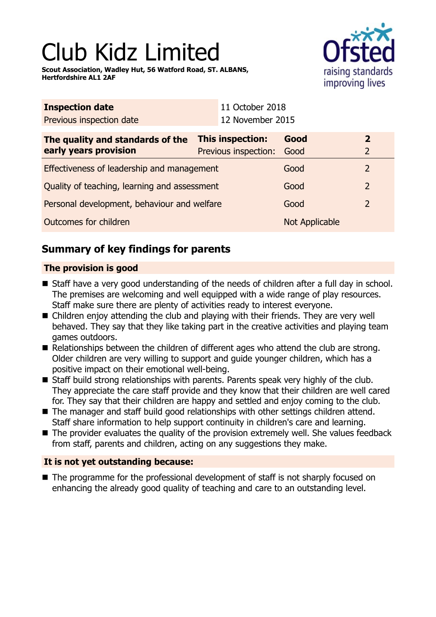# Club Kidz Limited

**Scout Association, Wadley Hut, 56 Watford Road, ST. ALBANS, Hertfordshire AL1 2AF**



| <b>Inspection date</b>                               |  | 11 October 2018      |                |                |
|------------------------------------------------------|--|----------------------|----------------|----------------|
| Previous inspection date                             |  | 12 November 2015     |                |                |
| This inspection:<br>The quality and standards of the |  |                      | Good           | $\overline{2}$ |
| early years provision                                |  | Previous inspection: | Good           | $\overline{2}$ |
| Effectiveness of leadership and management           |  |                      | Good           | $\overline{2}$ |
| Quality of teaching, learning and assessment         |  |                      | Good           | $\overline{2}$ |
| Personal development, behaviour and welfare          |  |                      | Good           | $\overline{2}$ |
| Outcomes for children                                |  |                      | Not Applicable |                |

# **Summary of key findings for parents**

## **The provision is good**

- Staff have a very good understanding of the needs of children after a full day in school. The premises are welcoming and well equipped with a wide range of play resources. Staff make sure there are plenty of activities ready to interest everyone.
- $\blacksquare$  Children enjoy attending the club and playing with their friends. They are very well behaved. They say that they like taking part in the creative activities and playing team games outdoors.
- $\blacksquare$  Relationships between the children of different ages who attend the club are strong. Older children are very willing to support and guide younger children, which has a positive impact on their emotional well-being.
- Staff build strong relationships with parents. Parents speak very highly of the club. They appreciate the care staff provide and they know that their children are well cared for. They say that their children are happy and settled and enjoy coming to the club.
- $\blacksquare$  The manager and staff build good relationships with other settings children attend. Staff share information to help support continuity in children's care and learning.
- $\blacksquare$  The provider evaluates the quality of the provision extremely well. She values feedback from staff, parents and children, acting on any suggestions they make.

## **It is not yet outstanding because:**

 $\blacksquare$  The programme for the professional development of staff is not sharply focused on enhancing the already good quality of teaching and care to an outstanding level.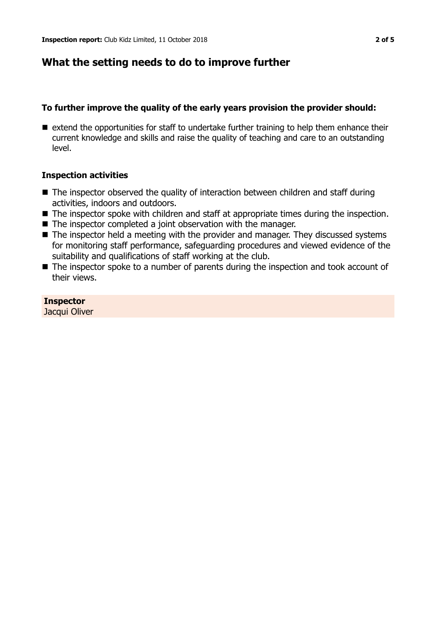## **What the setting needs to do to improve further**

#### **To further improve the quality of the early years provision the provider should:**

 $\blacksquare$  extend the opportunities for staff to undertake further training to help them enhance their current knowledge and skills and raise the quality of teaching and care to an outstanding level.

#### **Inspection activities**

- $\blacksquare$  The inspector observed the quality of interaction between children and staff during activities, indoors and outdoors.
- The inspector spoke with children and staff at appropriate times during the inspection.
- $\blacksquare$  The inspector completed a joint observation with the manager.
- $\blacksquare$  The inspector held a meeting with the provider and manager. They discussed systems for monitoring staff performance, safeguarding procedures and viewed evidence of the suitability and qualifications of staff working at the club.
- The inspector spoke to a number of parents during the inspection and took account of their views.

**Inspector** Jacqui Oliver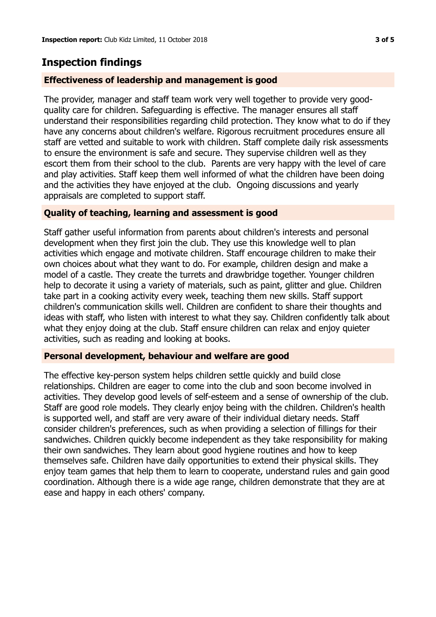## **Inspection findings**

#### **Effectiveness of leadership and management is good**

The provider, manager and staff team work very well together to provide very goodquality care for children. Safeguarding is effective. The manager ensures all staff understand their responsibilities regarding child protection. They know what to do if they have any concerns about children's welfare. Rigorous recruitment procedures ensure all staff are vetted and suitable to work with children. Staff complete daily risk assessments to ensure the environment is safe and secure. They supervise children well as they escort them from their school to the club. Parents are very happy with the level of care and play activities. Staff keep them well informed of what the children have been doing and the activities they have enjoyed at the club. Ongoing discussions and yearly appraisals are completed to support staff.

#### **Quality of teaching, learning and assessment is good**

Staff gather useful information from parents about children's interests and personal development when they first join the club. They use this knowledge well to plan activities which engage and motivate children. Staff encourage children to make their own choices about what they want to do. For example, children design and make a model of a castle. They create the turrets and drawbridge together. Younger children help to decorate it using a variety of materials, such as paint, glitter and glue. Children take part in a cooking activity every week, teaching them new skills. Staff support children's communication skills well. Children are confident to share their thoughts and ideas with staff, who listen with interest to what they say. Children confidently talk about what they enjoy doing at the club. Staff ensure children can relax and enjoy quieter activities, such as reading and looking at books.

#### **Personal development, behaviour and welfare are good**

The effective key-person system helps children settle quickly and build close relationships. Children are eager to come into the club and soon become involved in activities. They develop good levels of self-esteem and a sense of ownership of the club. Staff are good role models. They clearly enjoy being with the children. Children's health is supported well, and staff are very aware of their individual dietary needs. Staff consider children's preferences, such as when providing a selection of fillings for their sandwiches. Children quickly become independent as they take responsibility for making their own sandwiches. They learn about good hygiene routines and how to keep themselves safe. Children have daily opportunities to extend their physical skills. They enjoy team games that help them to learn to cooperate, understand rules and gain good coordination. Although there is a wide age range, children demonstrate that they are at ease and happy in each others' company.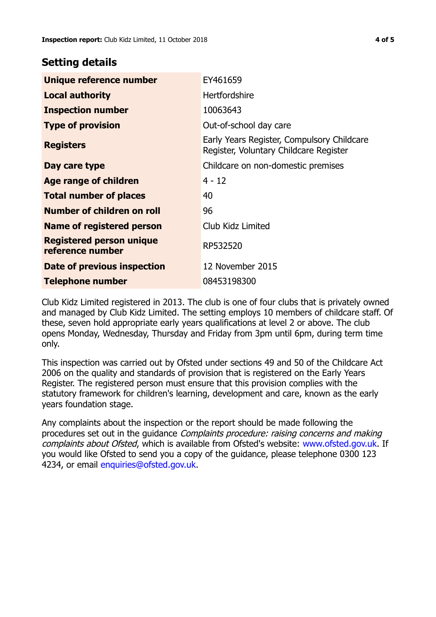## **Setting details**

| Unique reference number                             | EY461659                                                                             |  |
|-----------------------------------------------------|--------------------------------------------------------------------------------------|--|
| <b>Local authority</b>                              | <b>Hertfordshire</b>                                                                 |  |
| <b>Inspection number</b>                            | 10063643                                                                             |  |
| <b>Type of provision</b>                            | Out-of-school day care                                                               |  |
| <b>Registers</b>                                    | Early Years Register, Compulsory Childcare<br>Register, Voluntary Childcare Register |  |
| Day care type                                       | Childcare on non-domestic premises                                                   |  |
| Age range of children                               | $4 - 12$                                                                             |  |
| <b>Total number of places</b>                       | 40                                                                                   |  |
| Number of children on roll                          | 96                                                                                   |  |
| <b>Name of registered person</b>                    | Club Kidz Limited                                                                    |  |
| <b>Registered person unique</b><br>reference number | RP532520                                                                             |  |
| Date of previous inspection                         | 12 November 2015                                                                     |  |
| <b>Telephone number</b>                             | 08453198300                                                                          |  |

Club Kidz Limited registered in 2013. The club is one of four clubs that is privately owned and managed by Club Kidz Limited. The setting employs 10 members of childcare staff. Of these, seven hold appropriate early years qualifications at level 2 or above. The club opens Monday, Wednesday, Thursday and Friday from 3pm until 6pm, during term time only.

This inspection was carried out by Ofsted under sections 49 and 50 of the Childcare Act 2006 on the quality and standards of provision that is registered on the Early Years Register. The registered person must ensure that this provision complies with the statutory framework for children's learning, development and care, known as the early years foundation stage.

Any complaints about the inspection or the report should be made following the procedures set out in the guidance Complaints procedure: raising concerns and making complaints about Ofsted, which is available from Ofsted's website: www.ofsted.gov.uk. If you would like Ofsted to send you a copy of the guidance, please telephone 0300 123 4234, or email [enquiries@ofsted.gov.uk.](mailto:enquiries@ofsted.gov.uk)